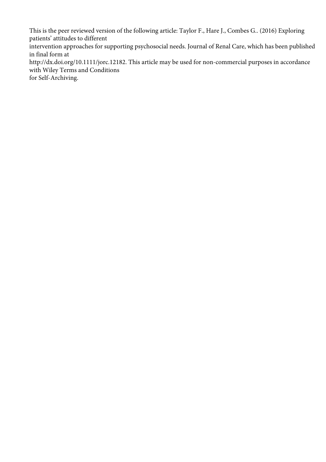This is the peer reviewed version of the following article: Taylor F., Hare J., Combes G.. (2016) Exploring patients' attitudes to different

intervention approaches for supporting psychosocial needs. Journal of Renal Care, which has been published in final form at

http://dx.doi.org/10.1111/jorc.12182. This article may be used for non-commercial purposes in accordance with Wiley Terms and Conditions

for Self-Archiving.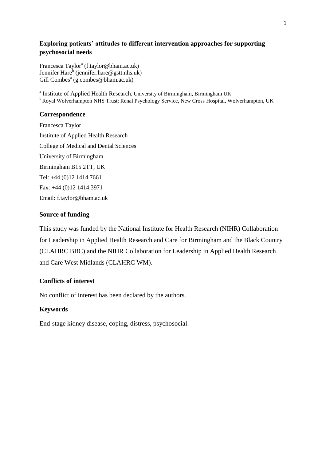# **Exploring patients' attitudes to different intervention approaches for supporting psychosocial needs**

Francesca Taylor<sup>a</sup> (f.taylor@bham.ac.uk) Jennifer Hare<sup>b</sup> [\(jennifer.hare@gstt.nhs.uk\)](mailto:jennifer.hare@gstt.nhs.uk) Gill Combes<sup>a</sup> (g.combes@bham.ac.uk)

<sup>a</sup> Institute of Applied Health Research, University of Birmingham, Birmingham UK <sup>b</sup> Royal Wolverhampton NHS Trust: Renal Psychology Service, New Cross Hospital, Wolverhampton, UK

# **Correspondence**

Francesca Taylor Institute of Applied Health Research College of Medical and Dental Sciences University of Birmingham Birmingham B15 2TT, UK Tel: +44 (0)12 1414 7661 Fax: +44 (0)12 1414 3971 Email: [f.taylor@bham.ac.uk](mailto:f.taylor@bham.ac.uk)

# **Source of funding**

This study was funded by the National Institute for Health Research (NIHR) Collaboration for Leadership in Applied Health Research and Care for Birmingham and the Black Country (CLAHRC BBC) and the NIHR Collaboration for Leadership in Applied Health Research and Care West Midlands (CLAHRC WM).

# **Conflicts of interest**

No conflict of interest has been declared by the authors.

# **Keywords**

End-stage kidney disease, coping, distress, psychosocial.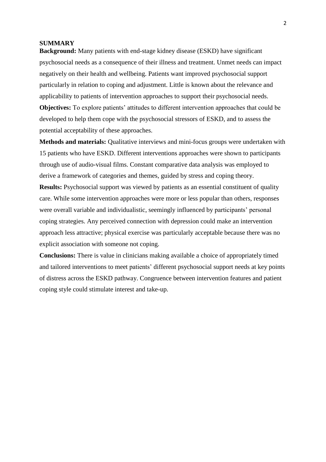### **SUMMARY**

**Background:** Many patients with end-stage kidney disease (ESKD) have significant psychosocial needs as a consequence of their illness and treatment. Unmet needs can impact negatively on their health and wellbeing. Patients want improved psychosocial support particularly in relation to coping and adjustment. Little is known about the relevance and applicability to patients of intervention approaches to support their psychosocial needs. **Objectives:** To explore patients' attitudes to different intervention approaches that could be

developed to help them cope with the psychosocial stressors of ESKD, and to assess the potential acceptability of these approaches.

**Methods and materials:** Qualitative interviews and mini-focus groups were undertaken with 15 patients who have ESKD. Different interventions approaches were shown to participants through use of audio-visual films. Constant comparative data analysis was employed to derive a framework of categories and themes, guided by stress and coping theory.

**Results:** Psychosocial support was viewed by patients as an essential constituent of quality care. While some intervention approaches were more or less popular than others, responses were overall variable and individualistic, seemingly influenced by participants' personal coping strategies. Any perceived connection with depression could make an intervention approach less attractive; physical exercise was particularly acceptable because there was no explicit association with someone not coping.

**Conclusions:** There is value in clinicians making available a choice of appropriately timed and tailored interventions to meet patients' different psychosocial support needs at key points of distress across the ESKD pathway. Congruence between intervention features and patient coping style could stimulate interest and take-up.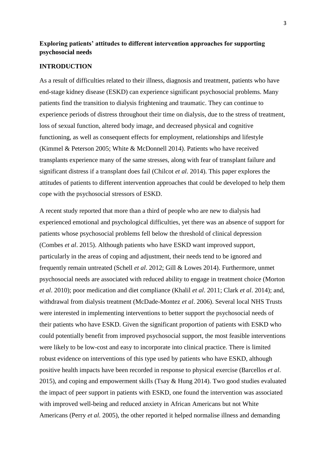# **Exploring patients' attitudes to different intervention approaches for supporting psychosocial needs**

# **INTRODUCTION**

As a result of difficulties related to their illness, diagnosis and treatment, patients who have end-stage kidney disease (ESKD) can experience significant psychosocial problems. Many patients find the transition to dialysis frightening and traumatic. They can continue to experience periods of distress throughout their time on dialysis, due to the stress of treatment, loss of sexual function, altered body image, and decreased physical and cognitive functioning, as well as consequent effects for employment, relationships and lifestyle (Kimmel & Peterson 2005; White & McDonnell 2014). Patients who have received transplants experience many of the same stresses, along with fear of transplant failure and significant distress if a transplant does fail (Chilcot *et al*. 2014). This paper explores the attitudes of patients to different intervention approaches that could be developed to help them cope with the psychosocial stressors of ESKD.

A recent study reported that more than a third of people who are new to dialysis had experienced emotional and psychological difficulties, yet there was an absence of support for patients whose psychosocial problems fell below the threshold of clinical depression (Combes *et al*. 2015). Although patients who have ESKD want improved support, particularly in the areas of coping and adjustment, their needs tend to be ignored and frequently remain untreated (Schell *et al*. 2012; Gill & Lowes 2014). Furthermore, unmet psychosocial needs are associated with reduced ability to engage in treatment choice (Morton *et al*. 2010); poor medication and diet compliance (Khalil *et al*. 2011; Clark *et al*. 2014); and, withdrawal from dialysis treatment (McDade-Montez *et al*. 2006). Several local NHS Trusts were interested in implementing interventions to better support the psychosocial needs of their patients who have ESKD. Given the significant proportion of patients with ESKD who could potentially benefit from improved psychosocial support, the most feasible interventions were likely to be low-cost and easy to incorporate into clinical practice. There is limited robust evidence on interventions of this type used by patients who have ESKD, although positive health impacts have been recorded in response to physical exercise (Barcellos *et al*. 2015), and coping and empowerment skills (Tsay & Hung 2014). Two good studies evaluated the impact of peer support in patients with ESKD, one found the intervention was associated with improved well-being and reduced anxiety in African Americans but not White Americans (Perry *et al.* 2005), the other reported it helped normalise illness and demanding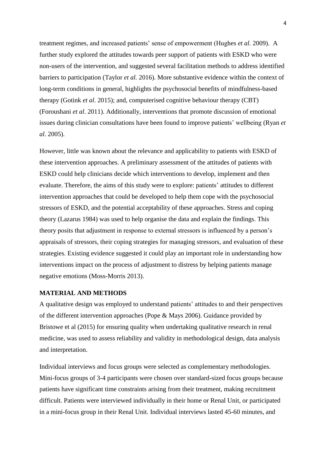treatment regimes, and increased patients' sense of empowerment (Hughes *et al.* 2009). A further study explored the attitudes towards peer support of patients with ESKD who were non-users of the intervention, and suggested several facilitation methods to address identified barriers to participation (Taylor *et al.* 2016). More substantive evidence within the context of long-term conditions in general, highlights the psychosocial benefits of mindfulness-based therapy (Gotink *et al*. 2015); and, computerised cognitive behaviour therapy (CBT) (Foroushani *et al*. 2011). Additionally, interventions that promote discussion of emotional issues during clinician consultations have been found to improve patients' wellbeing (Ryan *et al*. 2005).

However, little was known about the relevance and applicability to patients with ESKD of these intervention approaches. A preliminary assessment of the attitudes of patients with ESKD could help clinicians decide which interventions to develop, implement and then evaluate. Therefore, the aims of this study were to explore: patients' attitudes to different intervention approaches that could be developed to help them cope with the psychosocial stressors of ESKD, and the potential acceptability of these approaches. Stress and coping theory (Lazarus 1984) was used to help organise the data and explain the findings. This theory posits that adjustment in response to external stressors is influenced by a person's appraisals of stressors, their coping strategies for managing stressors, and evaluation of these strategies. Existing evidence suggested it could play an important role in understanding how interventions impact on the process of adjustment to distress by helping patients manage negative emotions (Moss-Morris 2013).

### **MATERIAL AND METHODS**

A qualitative design was employed to understand patients' attitudes to and their perspectives of the different intervention approaches (Pope & Mays 2006). Guidance provided by Bristowe et al (2015) for ensuring quality when undertaking qualitative research in renal medicine, was used to assess reliability and validity in methodological design, data analysis and interpretation.

Individual interviews and focus groups were selected as complementary methodologies. Mini-focus groups of 3-4 participants were chosen over standard-sized focus groups because patients have significant time constraints arising from their treatment, making recruitment difficult. Patients were interviewed individually in their home or Renal Unit, or participated in a mini-focus group in their Renal Unit. Individual interviews lasted 45-60 minutes, and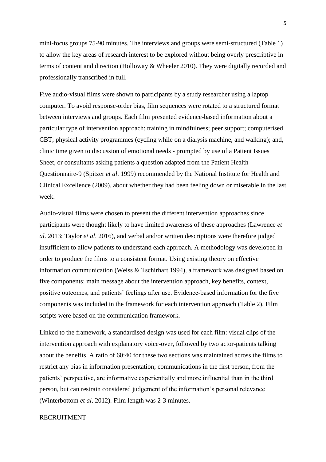mini-focus groups 75-90 minutes. The interviews and groups were semi-structured (Table 1) to allow the key areas of research interest to be explored without being overly prescriptive in terms of content and direction (Holloway & Wheeler 2010). They were digitally recorded and professionally transcribed in full.

Five audio-visual films were shown to participants by a study researcher using a laptop computer. To avoid response-order bias, film sequences were rotated to a structured format between interviews and groups. Each film presented evidence-based information about a particular type of intervention approach: training in mindfulness; peer support; computerised CBT; physical activity programmes (cycling while on a dialysis machine, and walking); and, clinic time given to discussion of emotional needs - prompted by use of a Patient Issues Sheet, or consultants asking patients a question adapted from the Patient Health Questionnaire-9 (Spitzer *et al*. 1999) recommended by the National Institute for Health and Clinical Excellence (2009), about whether they had been feeling down or miserable in the last week.

Audio-visual films were chosen to present the different intervention approaches since participants were thought likely to have limited awareness of these approaches (Lawrence *et al*. 2013; Taylor *et al*. 2016), and verbal and/or written descriptions were therefore judged insufficient to allow patients to understand each approach. A methodology was developed in order to produce the films to a consistent format. Using existing theory on effective information communication (Weiss & Tschirhart 1994), a framework was designed based on five components: main message about the intervention approach, key benefits, context, positive outcomes, and patients' feelings after use. Evidence-based information for the five components was included in the framework for each intervention approach (Table 2). Film scripts were based on the communication framework.

Linked to the framework, a standardised design was used for each film: visual clips of the intervention approach with explanatory voice-over, followed by two actor-patients talking about the benefits. A ratio of 60:40 for these two sections was maintained across the films to restrict any bias in information presentation; communications in the first person, from the patients' perspective, are informative experientially and more influential than in the third person, but can restrain considered judgement of the information's personal relevance (Winterbottom *et al*. 2012). Film length was 2-3 minutes.

# RECRUITMENT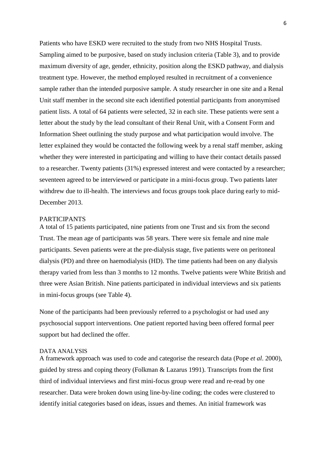Patients who have ESKD were recruited to the study from two NHS Hospital Trusts. Sampling aimed to be purposive, based on study inclusion criteria (Table 3), and to provide maximum diversity of age, gender, ethnicity, position along the ESKD pathway, and dialysis treatment type. However, the method employed resulted in recruitment of a convenience sample rather than the intended purposive sample. A study researcher in one site and a Renal Unit staff member in the second site each identified potential participants from anonymised patient lists. A total of 64 patients were selected, 32 in each site. These patients were sent a letter about the study by the lead consultant of their Renal Unit, with a Consent Form and Information Sheet outlining the study purpose and what participation would involve. The letter explained they would be contacted the following week by a renal staff member, asking whether they were interested in participating and willing to have their contact details passed to a researcher. Twenty patients (31%) expressed interest and were contacted by a researcher; seventeen agreed to be interviewed or participate in a mini-focus group. Two patients later withdrew due to ill-health. The interviews and focus groups took place during early to mid-December 2013.

### PARTICIPANTS

A total of 15 patients participated, nine patients from one Trust and six from the second Trust. The mean age of participants was 58 years. There were six female and nine male participants. Seven patients were at the pre-dialysis stage, five patients were on peritoneal dialysis (PD) and three on haemodialysis (HD). The time patients had been on any dialysis therapy varied from less than 3 months to 12 months. Twelve patients were White British and three were Asian British. Nine patients participated in individual interviews and six patients in mini-focus groups (see Table 4).

None of the participants had been previously referred to a psychologist or had used any psychosocial support interventions. One patient reported having been offered formal peer support but had declined the offer.

## DATA ANALYSIS

A framework approach was used to code and categorise the research data (Pope *et al*. 2000), guided by stress and coping theory (Folkman & Lazarus 1991). Transcripts from the first third of individual interviews and first mini-focus group were read and re-read by one researcher. Data were broken down using line-by-line coding; the codes were clustered to identify initial categories based on ideas, issues and themes. An initial framework was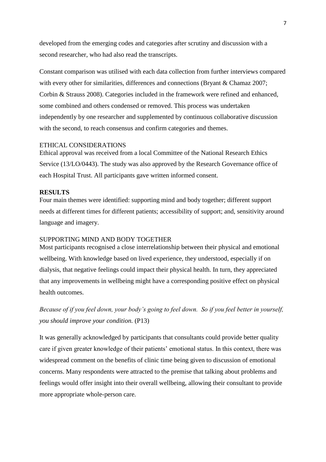developed from the emerging codes and categories after scrutiny and discussion with a second researcher, who had also read the transcripts.

Constant comparison was utilised with each data collection from further interviews compared with every other for similarities, differences and connections (Bryant & Chamaz 2007; Corbin & Strauss 2008). Categories included in the framework were refined and enhanced, some combined and others condensed or removed. This process was undertaken independently by one researcher and supplemented by continuous collaborative discussion with the second, to reach consensus and confirm categories and themes.

#### ETHICAL CONSIDERATIONS

Ethical approval was received from a local Committee of the National Research Ethics Service (13/LO/0443). The study was also approved by the Research Governance office of each Hospital Trust. All participants gave written informed consent.

# **RESULTS**

Four main themes were identified: supporting mind and body together; different support needs at different times for different patients; accessibility of support; and, sensitivity around language and imagery.

# SUPPORTING MIND AND BODY TOGETHER

Most participants recognised a close interrelationship between their physical and emotional wellbeing. With knowledge based on lived experience, they understood, especially if on dialysis, that negative feelings could impact their physical health. In turn, they appreciated that any improvements in wellbeing might have a corresponding positive effect on physical health outcomes.

*Because of if you feel down, your body's going to feel down. So if you feel better in yourself, you should improve your condition.* (P13)

It was generally acknowledged by participants that consultants could provide better quality care if given greater knowledge of their patients' emotional status. In this context, there was widespread comment on the benefits of clinic time being given to discussion of emotional concerns. Many respondents were attracted to the premise that talking about problems and feelings would offer insight into their overall wellbeing, allowing their consultant to provide more appropriate whole-person care.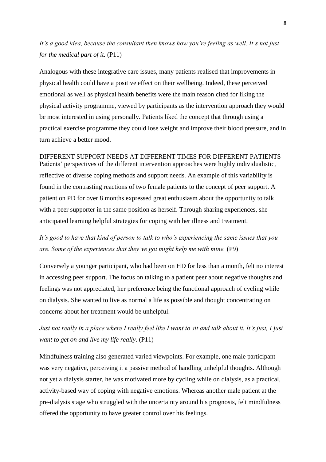*It's a good idea, because the consultant then knows how you're feeling as well. It's not just for the medical part of it.* (P11)

Analogous with these integrative care issues, many patients realised that improvements in physical health could have a positive effect on their wellbeing. Indeed, these perceived emotional as well as physical health benefits were the main reason cited for liking the physical activity programme, viewed by participants as the intervention approach they would be most interested in using personally. Patients liked the concept that through using a practical exercise programme they could lose weight and improve their blood pressure, and in turn achieve a better mood.

DIFFERENT SUPPORT NEEDS AT DIFFERENT TIMES FOR DIFFERENT PATIENTS Patients' perspectives of the different intervention approaches were highly individualistic, reflective of diverse coping methods and support needs. An example of this variability is found in the contrasting reactions of two female patients to the concept of peer support. A patient on PD for over 8 months expressed great enthusiasm about the opportunity to talk with a peer supporter in the same position as herself. Through sharing experiences, she anticipated learning helpful strategies for coping with her illness and treatment.

*It's good to have that kind of person to talk to who's experiencing the same issues that you are. Some of the experiences that they've got might help me with mine.* (P9)

Conversely a younger participant, who had been on HD for less than a month, felt no interest in accessing peer support. The focus on talking to a patient peer about negative thoughts and feelings was not appreciated, her preference being the functional approach of cycling while on dialysis. She wanted to live as normal a life as possible and thought concentrating on concerns about her treatment would be unhelpful.

*Just not really in a place where I really feel like I want to sit and talk about it. It's just, I just want to get on and live my life really*. (P11)

Mindfulness training also generated varied viewpoints. For example, one male participant was very negative, perceiving it a passive method of handling unhelpful thoughts. Although not yet a dialysis starter, he was motivated more by cycling while on dialysis, as a practical, activity-based way of coping with negative emotions. Whereas another male patient at the pre-dialysis stage who struggled with the uncertainty around his prognosis, felt mindfulness offered the opportunity to have greater control over his feelings.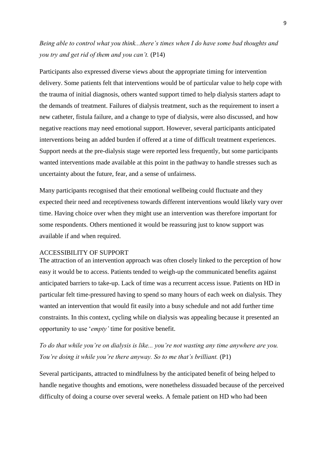# *Being able to control what you think...there's times when I do have some bad thoughts and you try and get rid of them and you can't.* (P14)

Participants also expressed diverse views about the appropriate timing for intervention delivery. Some patients felt that interventions would be of particular value to help cope with the trauma of initial diagnosis, others wanted support timed to help dialysis starters adapt to the demands of treatment. Failures of dialysis treatment, such as the requirement to insert a new catheter, fistula failure, and a change to type of dialysis, were also discussed, and how negative reactions may need emotional support. However, several participants anticipated interventions being an added burden if offered at a time of difficult treatment experiences. Support needs at the pre-dialysis stage were reported less frequently, but some participants wanted interventions made available at this point in the pathway to handle stresses such as uncertainty about the future, fear, and a sense of unfairness.

Many participants recognised that their emotional wellbeing could fluctuate and they expected their need and receptiveness towards different interventions would likely vary over time. Having choice over when they might use an intervention was therefore important for some respondents. Others mentioned it would be reassuring just to know support was available if and when required.

# ACCESSIBILITY OF SUPPORT

The attraction of an intervention approach was often closely linked to the perception of how easy it would be to access. Patients tended to weigh-up the communicated benefits against anticipated barriers to take-up. Lack of time was a recurrent access issue. Patients on HD in particular felt time-pressured having to spend so many hours of each week on dialysis. They wanted an intervention that would fit easily into a busy schedule and not add further time constraints. In this context, cycling while on dialysis was appealing because it presented an opportunity to use '*empty'* time for positive benefit.

*To do that while you're on dialysis is like... you're not wasting any time anywhere are you. You're doing it while you're there anyway. So to me that's brilliant.* (P1)

Several participants, attracted to mindfulness by the anticipated benefit of being helped to handle negative thoughts and emotions, were nonetheless dissuaded because of the perceived difficulty of doing a course over several weeks. A female patient on HD who had been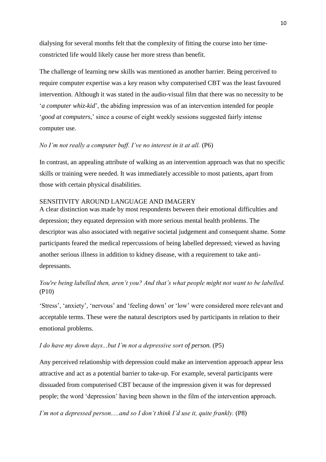dialysing for several months felt that the complexity of fitting the course into her timeconstricted life would likely cause her more stress than benefit.

The challenge of learning new skills was mentioned as another barrier. Being perceived to require computer expertise was a key reason why computerised CBT was the least favoured intervention. Although it was stated in the audio-visual film that there was no necessity to be '*a computer whiz-kid*', the abiding impression was of an intervention intended for people '*good at computers*,' since a course of eight weekly sessions suggested fairly intense computer use.

# *No I'm not really a computer buff. I've no interest in it at all.* (P6)

In contrast, an appealing attribute of walking as an intervention approach was that no specific skills or training were needed. It was immediately accessible to most patients, apart from those with certain physical disabilities.

# SENSITIVITY AROUND LANGUAGE AND IMAGERY

A clear distinction was made by most respondents between their emotional difficulties and depression; they equated depression with more serious mental health problems. The descriptor was also associated with negative societal judgement and consequent shame. Some participants feared the medical repercussions of being labelled depressed; viewed as having another serious illness in addition to kidney disease, with a requirement to take antidepressants.

# *You're being labelled then, aren't you? And that's what people might not want to be labelled.*  (P10)

'Stress', 'anxiety', 'nervous' and 'feeling down' or 'low' were considered more relevant and acceptable terms. These were the natural descriptors used by participants in relation to their emotional problems.

# *I do have my down days...but I'm not a depressive sort of person.* (P5)

Any perceived relationship with depression could make an intervention approach appear less attractive and act as a potential barrier to take-up. For example, several participants were dissuaded from computerised CBT because of the impression given it was for depressed people; the word 'depression' having been shown in the film of the intervention approach.

*I'm not a depressed person.....and so I don't think I'd use it, quite frankly.* (P8)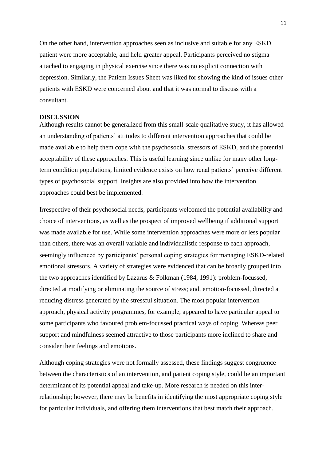On the other hand, intervention approaches seen as inclusive and suitable for any ESKD patient were more acceptable, and held greater appeal. Participants perceived no stigma attached to engaging in physical exercise since there was no explicit connection with depression. Similarly, the Patient Issues Sheet was liked for showing the kind of issues other patients with ESKD were concerned about and that it was normal to discuss with a consultant.

### **DISCUSSION**

Although results cannot be generalized from this small-scale qualitative study, it has allowed an understanding of patients' attitudes to different intervention approaches that could be made available to help them cope with the psychosocial stressors of ESKD, and the potential acceptability of these approaches. This is useful learning since unlike for many other longterm condition populations, limited evidence exists on how renal patients' perceive different types of psychosocial support. Insights are also provided into how the intervention approaches could best be implemented.

Irrespective of their psychosocial needs, participants welcomed the potential availability and choice of interventions, as well as the prospect of improved wellbeing if additional support was made available for use. While some intervention approaches were more or less popular than others, there was an overall variable and individualistic response to each approach, seemingly influenced by participants' personal coping strategies for managing ESKD-related emotional stressors. A variety of strategies were evidenced that can be broadly grouped into the two approaches identified by Lazarus & Folkman (1984, 1991): problem-focussed, directed at modifying or eliminating the source of stress; and, emotion-focussed, directed at reducing distress generated by the stressful situation. The most popular intervention approach, physical activity programmes, for example, appeared to have particular appeal to some participants who favoured problem-focussed practical ways of coping. Whereas peer support and mindfulness seemed attractive to those participants more inclined to share and consider their feelings and emotions.

Although coping strategies were not formally assessed, these findings suggest congruence between the characteristics of an intervention, and patient coping style, could be an important determinant of its potential appeal and take-up. More research is needed on this interrelationship; however, there may be benefits in identifying the most appropriate coping style for particular individuals, and offering them interventions that best match their approach.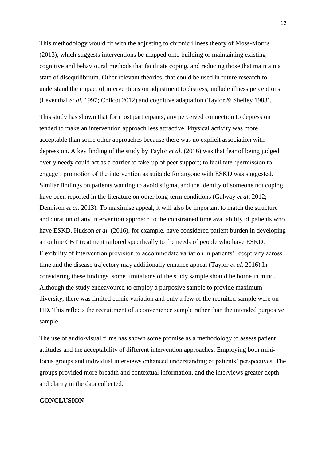This methodology would fit with the adjusting to chronic illness theory of Moss-Morris (2013), which suggests interventions be mapped onto building or maintaining existing cognitive and behavioural methods that facilitate coping, and reducing those that maintain a state of disequilibrium. Other relevant theories, that could be used in future research to understand the impact of interventions on adjustment to distress, include illness perceptions (Leventhal *et al.* 1997; Chilcot 2012) and cognitive adaptation (Taylor & Shelley 1983).

This study has shown that for most participants, any perceived connection to depression tended to make an intervention approach less attractive. Physical activity was more acceptable than some other approaches because there was no explicit association with depression. A key finding of the study by Taylor *et al.* (2016) was that fear of being judged overly needy could act as a barrier to take-up of peer support; to facilitate 'permission to engage', promotion of the intervention as suitable for anyone with ESKD was suggested. Similar findings on patients wanting to avoid stigma, and the identity of someone not coping, have been reported in the literature on other long-term conditions (Galway *et al*. 2012; Dennison *et al*. 2013). To maximise appeal, it will also be important to match the structure and duration of any intervention approach to the constrained time availability of patients who have ESKD. Hudson *et al.* (2016), for example, have considered patient burden in developing an online CBT treatment tailored specifically to the needs of people who have ESKD. Flexibility of intervention provision to accommodate variation in patients' receptivity across time and the disease trajectory may additionally enhance appeal (Taylor *et al.* 2016).In considering these findings, some limitations of the study sample should be borne in mind. Although the study endeavoured to employ a purposive sample to provide maximum diversity, there was limited ethnic variation and only a few of the recruited sample were on HD. This reflects the recruitment of a convenience sample rather than the intended purposive sample.

The use of audio-visual films has shown some promise as a methodology to assess patient attitudes and the acceptability of different intervention approaches. Employing both minifocus groups and individual interviews enhanced understanding of patients' perspectives. The groups provided more breadth and contextual information, and the interviews greater depth and clarity in the data collected.

# **CONCLUSION**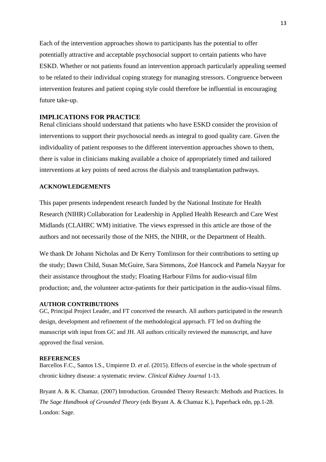Each of the intervention approaches shown to participants has the potential to offer potentially attractive and acceptable psychosocial support to certain patients who have ESKD. Whether or not patients found an intervention approach particularly appealing seemed to be related to their individual coping strategy for managing stressors. Congruence between intervention features and patient coping style could therefore be influential in encouraging future take-up.

# **IMPLICATIONS FOR PRACTICE**

Renal clinicians should understand that patients who have ESKD consider the provision of interventions to support their psychosocial needs as integral to good quality care. Given the individuality of patient responses to the different intervention approaches shown to them, there is value in clinicians making available a choice of appropriately timed and tailored interventions at key points of need across the dialysis and transplantation pathways.

### **ACKNOWLEDGEMENTS**

This paper presents independent research funded by the National Institute for Health Research (NIHR) Collaboration for Leadership in Applied Health Research and Care West Midlands (CLAHRC WM) initiative. The views expressed in this article are those of the authors and not necessarily those of the NHS, the NIHR, or the Department of Health.

We thank Dr Johann Nicholas and Dr Kerry Tomlinson for their contributions to setting up the study; Dawn Child, Susan McGuire, Sara Simmons, Zoë Hancock and Pamela Nayyar for their assistance throughout the study; Floating Harbour Films for audio-visual film production; and, the volunteer actor-patients for their participation in the audio-visual films.

#### **AUTHOR CONTRIBUTIONS**

GC, Principal Project Leader, and FT conceived the research. All authors participated in the research design, development and refinement of the methodological approach. FT led on drafting the manuscript with input from GC and JH. All authors critically reviewed the manuscript, and have approved the final version.

#### **REFERENCES**

Barcellos F.C., Santos I.S., Umpierre D. *et al*. (2015). Effects of exercise in the whole spectrum of chronic kidney disease: a systematic review. *Clinical Kidney Journal* 1-13.

Bryant A. & K. Chamaz. (2007) Introduction. Grounded Theory Research: Methods and Practices. In *The Sage Handbook of Grounded Theory* (eds Bryant A. & Chamaz K.), Paperback edn, pp.1-28. London: Sage.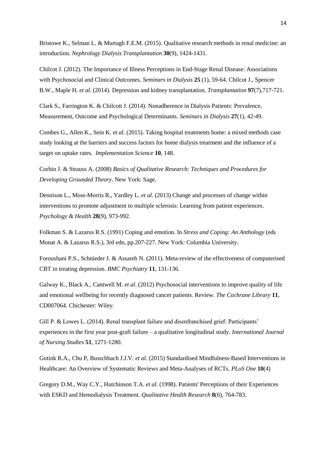Bristowe K., Selman L. & Murtagh F.E.M. (2015). Qualitative research methods in renal medicine: an introduction. *Nephrology Dialysis Transplantation* **30**(9), 1424-1431.

Chilcot J. (2012). The Importance of Illness Perceptions in End-Stage Renal Disease: Associations with Psychosocial and Clinical Outcomes. *Seminars in Dialysis* **25** (1), 59-64. Chilcot J., Spencer B.W., Maple H. *et al*. (2014). Depression and kidney transplantation. *Transplantation* **97**(7),717-721.

Clark S., Farrington K. & Chilcott J. (2014). Nonadherence in Dialysis Patients: Prevalence, Measurement, Outcome and Psychological Determinants. *Seminars in Dialysis* **27**(1), 42-49.

Combes G., Allen K., Sein K. *et al*. (2015). Taking hospital treatments home: a mixed methods case study looking at the barriers and success factors for home dialysis treatment and the influence of a target on uptake rates. *Implementation Science* **10**, 148.

Corbin J. & Strauss A. (2008) *Basics of Qualitative Research: Techniques and Procedures for Developing Grounded Theory*. New York: Sage.

Dennison L., Moss-Morris R., Yardley L. *et al*. (2013) Change and processes of change within interventions to promote adjustment to multiple sclerosis: Learning from patient experiences. *Psychology & Health* **28**(9), 973-992.

Folkman S. & Lazarus R.S. (1991) Coping and emotion. In *Stress and Coping: An Anthology* (eds Monat A. & Lazarus R.S.), 3rd edn, pp.207-227. New York: Columbia University.

Foroushani P.S., Schnieder J. & Assareh N. (2011). Meta-review of the effectiveness of computerised CBT in treating depression. *BMC Psychiatry* **11**, 131-136.

Galway K., Black A., Cantwell M. *et al*. (2012) Psychosocial interventions to improve quality of life and emotional wellbeing for recently diagnosed cancer patients. Review. *The Cochrane Library* **11**, CD007064. Chichester: Wiley.

Gill P. & Lowes L. (2014). Renal transplant failure and disenfranchised grief: Participants' experiences in the first year post-graft failure – a qualitative longitudinal study. *International Journal of Nursing Studies* **51**, 1271-1280.

Gotink R.A., Chu P, Busschbach J.J.V. *et al*. (2015) Standardised Mindfulness-Based Interventions in Healthcare: An Overview of Systematic Reviews and Meta-Analyses of RCTs. *PLoS One* **10**(4)

Gregory D.M., Way C.Y., Hutchinson T.A. *et al*. (1998). Patients' Perceptions of their Experiences with ESKD and Hemodialysis Treatment. *Qualitative Health Research* **8**(6), 764-783.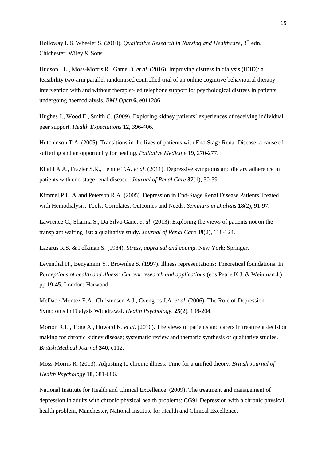Holloway I. & Wheeler S. (2010). *Qualitative Research in Nursing and Healthcare*, 3<sup>rd</sup> edn. Chichester: Wiley & Sons.

Hudson J.L., Moss-Morris R., Game D. *et al.* (2016). Improving distress in dialysis (iDiD): a feasibility two-arm parallel randomised controlled trial of an online cognitive behavioural therapy intervention with and without therapist-led telephone support for psychological distress in patients undergoing haemodialysis. *BMJ Open* **6,** e011286.

Hughes J., Wood E., Smith G. (2009). Exploring kidney patients' experiences of receiving individual peer support. *Health Expectations* **12**, 396-406.

Hutchinson T.A. (2005). Transitions in the lives of patients with End Stage Renal Disease: a cause of suffering and an opportunity for healing. *Palliative Medicine* **19**, 270-277.

Khalil A.A., Frazier S.K., Lennie T.A. *et al*. (2011). Depressive symptoms and dietary adherence in patients with end-stage renal disease. *Journal of Renal Care* **37**(1), 30-39.

Kimmel P.L. & and Peterson R.A. (2005). Depression in End-Stage Renal Disease Patients Treated with Hemodialysis: Tools, Correlates, Outcomes and Needs. *Seminars in Dialysis* **18**(2), 91-97.

Lawrence C., Sharma S., Da Silva-Gane. *et al*. (2013). Exploring the views of patients not on the transplant waiting list: a qualitative study. *Journal of Renal Care* **39**(2), 118-124.

Lazarus R.S. & Folkman S. (1984). *Stress, appraisal and coping*. New York: Springer.

Leventhal H., Benyamini Y., Brownlee S. (1997). Illness representations: Theoretical foundations. In *Perceptions of health and illness: Current research and applications* (eds Petrie K.J. & Weinman J.), pp.19-45. London: Harwood.

McDade-Montez E.A., Christensen A.J., Cvengros J.A. *et al*. (2006). The Role of Depression Symptoms in Dialysis Withdrawal. *Health Psychology*. **25**(2), 198-204.

Morton R.L., Tong A., Howard K. *et al*. (2010). The views of patients and carers in treatment decision making for chronic kidney disease; systematic review and thematic synthesis of qualitative studies. *British Medical Journal* **340**, c112.

Moss-Morris R. (2013). Adjusting to chronic illness: Time for a unified theory. *British Journal of Health Psychology* **18**, 681-686.

National Institute for Health and Clinical Excellence. (2009). The treatment and management of depression in adults with chronic physical health problems: CG91 Depression with a chronic physical health problem, Manchester, National Institute for Health and Clinical Excellence.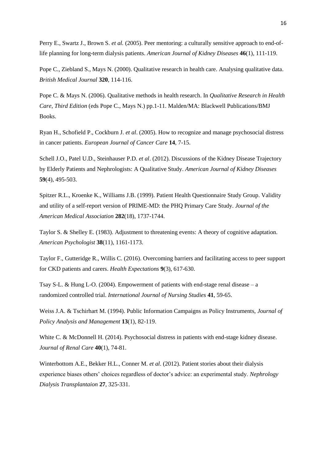Perry E., Swartz J., Brown S. *et al.* (2005). Peer mentoring: a culturally sensitive approach to end-oflife planning for long-term dialysis patients. *American Journal of Kidney Diseases* **46**(1), 111-119.

Pope C., Ziebland S., Mays N. (2000). Qualitative research in health care. Analysing qualitative data. *British Medical Journal* **320**, 114-116.

Pope C. & Mays N. (2006). Qualitative methods in health research. In *Qualitative Research in Health Care*, *Third Edition* (eds Pope C., Mays N.) pp.1-11. Malden/MA: Blackwell Publications/BMJ Books.

Ryan H., Schofield P., Cockburn J. *et al*. (2005). How to recognize and manage psychosocial distress in cancer patients. *European Journal of Cancer Care* **14**, 7-15.

Schell J.O., Patel U.D., Steinhauser P.D. *et al*. (2012). Discussions of the Kidney Disease Trajectory by Elderly Patients and Nephrologists: A Qualitative Study. *American Journal of Kidney Diseases* **59**(4), 495-503.

Spitzer R.L., Kroenke K., Williams J.B. (1999). Patient Health Questionnaire Study Group. Validity and utility of a self-report version of PRIME-MD: the PHQ Primary Care Study. *Journal of the American Medical Association* **282**(18), 1737-1744.

Taylor S. & Shelley E. (1983). Adjustment to threatening events: A theory of cognitive adaptation. *American Psychologist* **38**(11), 1161-1173.

Taylor F., Gutteridge R., Willis C. (2016). Overcoming barriers and facilitating access to peer support for CKD patients and carers. *Health Expectations* **9**(3), 617-630.

Tsay S-L. & Hung L-O. (2004). Empowerment of patients with end-stage renal disease – a randomized controlled trial. *International Journal of Nursing Studies* **41**, 59-65.

Weiss J.A. & Tschirhart M. (1994). Public Information Campaigns as Policy Instruments, *Journal of Policy Analysis and Management* **13**(1), 82-119.

White C. & McDonnell H. (2014). Psychosocial distress in patients with end-stage kidney disease. *Journal of Renal Care* **40**(1), 74-81.

Winterbottom A.E., Bekker H.L., Conner M. *et al*. (2012). Patient stories about their dialysis experience biases others' choices regardless of doctor's advice: an experimental study. *Nephrology Dialysis Transplantaion* **27**, 325-331.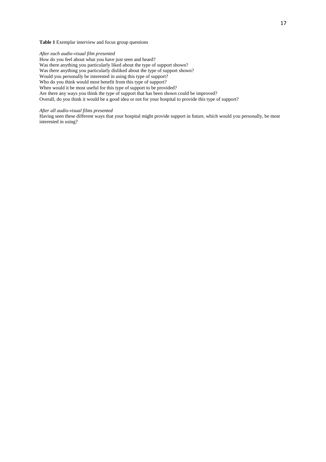#### **Table 1** Exemplar interview and focus group questions

#### *After each audio-visual film presented*

How do you feel about what you have just seen and heard?

Was there anything you particularly liked about the type of support shown?

Was there anything you particularly disliked about the type of support shown?

Would you personally be interested in using this type of support?

Who do you think would most benefit from this type of support?

When would it be most useful for this type of support to be provided?

Are there any ways you think the type of support that has been shown could be improved?

Overall, do you think it would be a good idea or not for your hospital to provide this type of support?

#### *After all audio-visual films presented*

Having seen these different ways that your hospital might provide support in future, which would you personally, be most interested in using?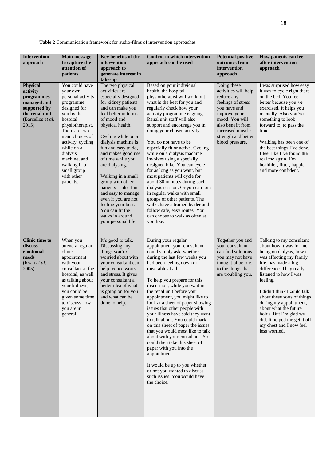**Table 2** Communication framework for audio-films of intervention approaches

| <b>Intervention</b><br>approach                                                                                                   | <b>Main message</b><br>to capture the<br>attention of<br>patients                                                                                                                                                                                                                       | Key benefits of the<br>intervention<br>approach to<br>generate interest in<br>take-up                                                                                                                                                                                                                                                                                                                                                                                                              | <b>Context in which intervention</b><br>approach can be used                                                                                                                                                                                                                                                                                                                                                                                                                                                                                                                                                                                                                                                                                                  | <b>Potential positive</b><br>outcomes from<br>intervention<br>approach                                                                                                                                       | How patients can feel<br>after intervention<br>approach                                                                                                                                                                                                                                                                                                                                                                    |
|-----------------------------------------------------------------------------------------------------------------------------------|-----------------------------------------------------------------------------------------------------------------------------------------------------------------------------------------------------------------------------------------------------------------------------------------|----------------------------------------------------------------------------------------------------------------------------------------------------------------------------------------------------------------------------------------------------------------------------------------------------------------------------------------------------------------------------------------------------------------------------------------------------------------------------------------------------|---------------------------------------------------------------------------------------------------------------------------------------------------------------------------------------------------------------------------------------------------------------------------------------------------------------------------------------------------------------------------------------------------------------------------------------------------------------------------------------------------------------------------------------------------------------------------------------------------------------------------------------------------------------------------------------------------------------------------------------------------------------|--------------------------------------------------------------------------------------------------------------------------------------------------------------------------------------------------------------|----------------------------------------------------------------------------------------------------------------------------------------------------------------------------------------------------------------------------------------------------------------------------------------------------------------------------------------------------------------------------------------------------------------------------|
| <b>Physical</b><br>activity<br>programmes<br>managed and<br>supported by<br>the renal unit<br>(Barcellos <i>et al.</i> )<br>2015) | You could have<br>your own<br>personal activity<br>programme<br>designed for<br>you by the<br>hospital<br>physiotherapist.<br>There are two<br>main choices of<br>activity, cycling<br>while on a<br>dialysis<br>machine, and<br>walking in a<br>small group<br>with other<br>patients. | The two physical<br>activities are<br>especially designed<br>for kidney patients<br>and can make you<br>feel better in terms<br>of mood and<br>physical health.<br>Cycling while on a<br>dialysis machine is<br>fun and easy to do,<br>and makes good use<br>of time while you<br>are dialysing.<br>Walking in a small<br>group with other<br>patients is also fun<br>and easy to manage<br>even if you are not<br>feeling your best.<br>You can fit the<br>walks in around<br>your personal life. | Based on your individual<br>health, the hospital<br>physiotherapist will work out<br>what is the best for you and<br>regularly check how your<br>activity programme is going.<br>Renal unit staff will also<br>support and encourage you in<br>doing your chosen activity.<br>You do not have to be<br>especially fit or active. Cycling<br>while on a dialysis machine<br>involves using a specially<br>designed bike. You can cycle<br>for as long as you want, but<br>most patients will cycle for<br>about 30 minutes during each<br>dialysis session. Or you can join<br>in regular walks with small<br>groups of other patients. The<br>walks have a trained leader and<br>follow safe, easy routes. You<br>can choose to walk as often as<br>you like. | Doing these<br>activities will help<br>reduce any<br>feelings of stress<br>you have and<br>improve your<br>mood. You will<br>also benefit from<br>increased muscle<br>strength and better<br>blood pressure. | I was surprised how easy<br>it was to cycle right there<br>on the bed. You feel<br>better because you've<br>exercised. It helps you<br>mentally. Also you've<br>something to look<br>forward to, to pass the<br>time.<br>Walking has been one of<br>the best things I've done.<br>I feel like I've found the<br>real me again. I'm<br>healthier, fitter, happier<br>and more confident.                                    |
| <b>Clinic time to</b><br>discuss<br>emotional<br>needs<br>(Ryan et al.<br>2005)                                                   | When you<br>attend a regular<br>clinic<br>appointment<br>with your<br>consultant at the<br>hospital, as well<br>as talking about<br>your kidneys,<br>you could be<br>given some time<br>to discuss how<br>you are in<br>general.                                                        | It's good to talk.<br>Discussing any<br>things you're<br>worried about with<br>your consultant can<br>help reduce worry<br>and stress. It gives<br>your consultant a<br>better idea of what<br>is going on for you<br>and what can be<br>done to help.                                                                                                                                                                                                                                             | During your regular<br>appointment your consultant<br>could simply ask, whether<br>during the last few weeks you<br>had been feeling down or<br>miserable at all.<br>To help you prepare for this<br>discussion, while you wait in<br>the renal unit before your<br>appointment, you might like to<br>look at a sheet of paper showing<br>issues that other people with<br>your illness have said they want<br>to talk about. You could mark<br>on this sheet of paper the issues<br>that you would most like to talk<br>about with your consultant. You<br>could then take this sheet of<br>paper with you into the<br>appointment.<br>It would be up to you whether<br>or not you wanted to discuss<br>such issues. You would have<br>the choice.           | Together you and<br>your consultant<br>can find solutions<br>you may not have<br>thought of before,<br>to the things that<br>are troubling you.                                                              | Talking to my consultant<br>about how it was for me<br>being on dialysis, how it<br>was affecting my family<br>life, has made a big<br>difference. They really<br>listened to how I was<br>feeling.<br>I didn't think I could talk<br>about these sorts of things<br>during my appointment,<br>about what the future<br>holds. But I'm glad we<br>did. It helped me get it off<br>my chest and I now feel<br>less worried. |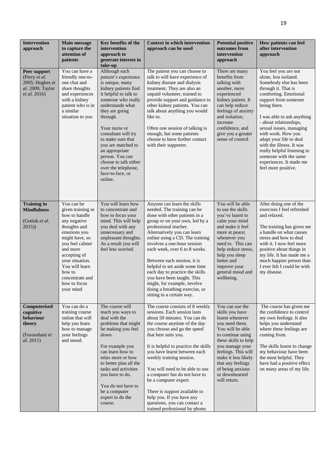| <b>Intervention</b><br>approach                                                      | <b>Main message</b><br>to capture the<br>attention of<br>patients                                                                                                                                                                                                 | Key benefits of the<br>intervention<br>approach to<br>generate interest in<br>take-up                                                                                                                                                                                                                                                                                                    | <b>Context in which intervention</b><br>approach can be used                                                                                                                                                                                                                                                                                                                                                                                                                                                             | <b>Potential positive</b><br>outcomes from<br>intervention<br>approach                                                                                                                                                                                                               | How patients can feel<br>after intervention<br>approach                                                                                                                                                                                                                                                                                                                                                                                   |
|--------------------------------------------------------------------------------------|-------------------------------------------------------------------------------------------------------------------------------------------------------------------------------------------------------------------------------------------------------------------|------------------------------------------------------------------------------------------------------------------------------------------------------------------------------------------------------------------------------------------------------------------------------------------------------------------------------------------------------------------------------------------|--------------------------------------------------------------------------------------------------------------------------------------------------------------------------------------------------------------------------------------------------------------------------------------------------------------------------------------------------------------------------------------------------------------------------------------------------------------------------------------------------------------------------|--------------------------------------------------------------------------------------------------------------------------------------------------------------------------------------------------------------------------------------------------------------------------------------|-------------------------------------------------------------------------------------------------------------------------------------------------------------------------------------------------------------------------------------------------------------------------------------------------------------------------------------------------------------------------------------------------------------------------------------------|
| Peer support<br>(Perry et al.<br>2005; Hughes et<br>al. 2009; Taylor<br>et al. 2016) | You can have a<br>friendly one-to-<br>one chat and<br>share thoughts<br>and experiences<br>with a kidney<br>patient who is in<br>a similar<br>situation to you                                                                                                    | Although each<br>patient's experience<br>is unique, many<br>kidney patients find<br>it helpful to talk to<br>someone who really<br>understands what<br>they are going<br>through.<br>Your nurse or<br>consultant will try<br>to make sure that<br>you are matched to<br>an appropriate<br>person. You can<br>choose to talk either<br>over the telephone,<br>face-to-face, or<br>online. | The patient you can choose to<br>talk to will have experience of<br>kidney disease and dialysis<br>treatment. They are also an<br>unpaid volunteer, trained to<br>provide support and guidance to<br>other kidney patients. You can<br>talk about anything you would<br>like to.<br>Often one session of talking is<br>enough, but some patients<br>choose to have further contact<br>with their supporter.                                                                                                              | There are many<br>benefits from<br>talking with<br>another, more<br>experienced<br>kidney patient. It<br>can help reduce<br>feelings of anxiety<br>and isolation,<br>increase<br>confidence, and<br>give you a greater<br>sense of control.                                          | You feel you are not<br>alone, less isolated.<br>Somebody else has been<br>through it. That is<br>comforting. Emotional<br>support from someone<br>being there.<br>I was able to ask anything<br>- about relationships,<br>sexual issues, managing<br>with work. How you<br>adapt your life to deal<br>with the illness. It was<br>really helpful listening to<br>someone with the same<br>experiences. It made me<br>feel more positive. |
| <b>Training in</b><br><b>Mindfulness</b><br>(Gotink et al.<br>2015)                  | You can be<br>given training in<br>how to handle<br>any negative<br>thoughts and<br>emotions you<br>might have, so<br>you feel calmer<br>and more<br>accepting of<br>your situation.<br>You will learn<br>how to<br>concentrate and<br>how to focus<br>your mind. | You will learn how<br>to concentrate and<br>how to focus your<br>mind. This will help<br>you deal with any<br>unnecessary and<br>unpleasant thoughts.<br>As a result you will<br>feel less worried.                                                                                                                                                                                      | Anyone can learn the skills<br>needed. The training can be<br>done with other patients in a<br>group or on your own, led by a<br>professional teacher.<br>Alternatively you can learn<br>online using a CD. The training<br>involves a one-hour session<br>each week, over 6 to 8 weeks.<br>Between each session, it is<br>helpful to set aside some time<br>each day to practice the skills<br>you have been taught. This<br>might, for example, involve<br>doing a breathing exercise, or<br>sitting in a certain way. | You will be able<br>to use the skills<br>you've learnt to<br>calm your mind<br>and make it feel<br>more at peace;<br>whenever you<br>need to. This can<br>help reduce stress,<br>help you sleep<br>better and<br>improve your<br>general mood and<br>wellbeing.                      | After doing one of the<br>exercises I feel refreshed<br>and relaxed.<br>The training has given me<br>a handle on what causes<br>stress and how to deal<br>with it. I now feel more<br>positive about things in<br>my life. It has made me a<br>much happier person than<br>I ever felt I could be with<br>my disease.                                                                                                                     |
| Computerised<br>cognitive<br>behaviour<br>theory<br>(Foroushani et<br>al. 2011)      | You can do a<br>training course<br>online that will<br>help you learn<br>how to manage<br>your feelings<br>and mood.                                                                                                                                              | The course will<br>teach you ways to<br>deal with the<br>problems that might<br>be making you feel<br>down.<br>For example you<br>can learn how to<br>relax more or how<br>to better plan all the<br>tasks and activities<br>you have to do.<br>You do not have to<br>be a computer<br>expert to do the<br>course.                                                                       | The course consists of 8 weekly<br>sessions. Each session lasts<br>about 50 minutes. You can do<br>the course anytime of the day<br>you choose and go the speed<br>that best suits you.<br>It is helpful to practice the skills<br>you have learnt between each<br>weekly training session.<br>You will need to be able to use<br>a computer but do not have to<br>be a computer expert.<br>There is support available to<br>help you. If you have any<br>questions, you can contact a<br>trained professional by phone. | You can use the<br>skills you have<br>learnt whenever<br>you need them.<br>You will be able<br>to continue using<br>these skills to help<br>you manage your<br>feelings. This will<br>make it less likely<br>that any feelings<br>of being anxious<br>or downhearted<br>will return. | The course has given me<br>the confidence to control<br>my own feelings. It also<br>helps you understand<br>where these feelings are<br>coming from.<br>The skills learnt to change<br>my behaviour have been<br>the most helpful. They<br>have had a positive effect<br>on many areas of my life.                                                                                                                                        |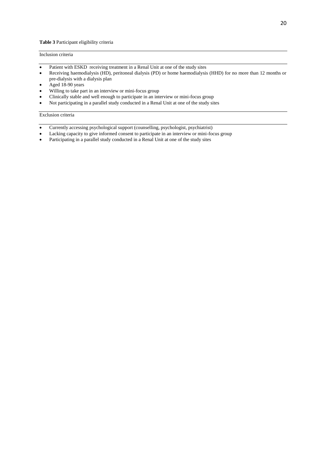#### Inclusion criteria

- Patient with ESKD receiving treatment in a Renal Unit at one of the study sites
- Receiving haemodialysis (HD), peritoneal dialysis (PD) or home haemodialysis (HHD) for no more than 12 months or pre-dialysis with a dialysis plan
- Aged 18-90 years
- Willing to take part in an interview or mini-focus group
- Clinically stable and well enough to participate in an interview or mini-focus group
- Not participating in a parallel study conducted in a Renal Unit at one of the study sites

#### Exclusion criteria

- Currently accessing psychological support (counselling, psychologist, psychiatrist)
- Lacking capacity to give informed consent to participate in an interview or mini-focus group
- Participating in a parallel study conducted in a Renal Unit at one of the study sites